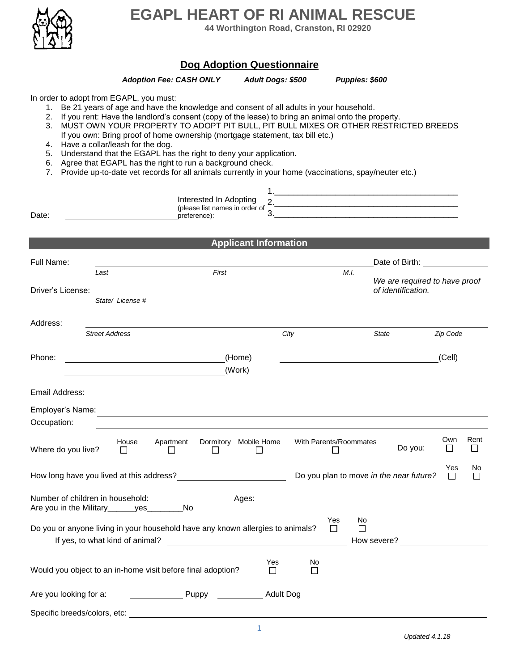

# **EGAPL HEART OF RI ANIMAL RESCUE**

**44 Worthington Road, Cranston, RI 02920**

# **Dog Adoption Questionnaire**

## *Adoption Fee: CASH ONLY Adult Dogs: \$500 Puppies: \$600*

In order to adopt from EGAPL, you must:

- 1. Be 21 years of age and have the knowledge and consent of all adults in your household.
- 2. If you rent: Have the landlord's consent (copy of the lease) to bring an animal onto the property.
- 3. MUST OWN YOUR PROPERTY TO ADOPT PIT BULL, PIT BULL MIXES OR OTHER RESTRICTED BREEDS If you own: Bring proof of home ownership (mortgage statement, tax bill etc.)
- 4. Have a collar/leash for the dog.
- 5. Understand that the EGAPL has the right to deny your application.
- 6. Agree that EGAPL has the right to run a background check.
- 7. Provide up-to-date vet records for all animals currently in your home (vaccinations, spay/neuter etc.)

|                                 |                                                                                | Interested In Adopting                         |                                 |                                                                                                                                                                                                                               |              |                               |               |           |
|---------------------------------|--------------------------------------------------------------------------------|------------------------------------------------|---------------------------------|-------------------------------------------------------------------------------------------------------------------------------------------------------------------------------------------------------------------------------|--------------|-------------------------------|---------------|-----------|
| Date:                           |                                                                                | (please list names in order of<br>preference): |                                 | 3.                                                                                                                                                                                                                            |              |                               |               |           |
|                                 |                                                                                |                                                |                                 |                                                                                                                                                                                                                               |              |                               |               |           |
|                                 |                                                                                |                                                | <b>Applicant Information</b>    |                                                                                                                                                                                                                               |              |                               |               |           |
| Full Name:                      |                                                                                |                                                |                                 |                                                                                                                                                                                                                               |              |                               |               |           |
| Last                            |                                                                                | First                                          |                                 |                                                                                                                                                                                                                               | M.I.         | We are required to have proof |               |           |
| Driver's License:               |                                                                                |                                                |                                 |                                                                                                                                                                                                                               |              | of identification.            |               |           |
|                                 | State/ License #                                                               |                                                |                                 |                                                                                                                                                                                                                               |              |                               |               |           |
| Address:                        |                                                                                |                                                |                                 |                                                                                                                                                                                                                               |              |                               |               |           |
|                                 | <b>Street Address</b>                                                          |                                                |                                 | City                                                                                                                                                                                                                          | <b>State</b> |                               | Zip Code      |           |
| Phone:                          |                                                                                |                                                | (Home)                          |                                                                                                                                                                                                                               |              |                               | (Cell)        |           |
|                                 |                                                                                |                                                | (Work)                          |                                                                                                                                                                                                                               |              |                               |               |           |
|                                 |                                                                                |                                                |                                 |                                                                                                                                                                                                                               |              |                               |               |           |
| Employer's Name:<br>Occupation: | <u> 1980 - Jan Stein Stein, fransk politik (f. 1980)</u>                       |                                                |                                 |                                                                                                                                                                                                                               |              |                               |               |           |
|                                 |                                                                                |                                                |                                 |                                                                                                                                                                                                                               |              |                               |               |           |
| Where do you live?              | House<br>$\Box$                                                                | Apartment<br>П<br>Ш                            | Dormitory Mobile Home<br>$\Box$ | With Parents/Roommates<br>$\Box$                                                                                                                                                                                              |              | Do you:                       | Own<br>ГI     | Rent<br>П |
|                                 | How long have you lived at this address?                                       |                                                |                                 | Do you plan to move in the near future?                                                                                                                                                                                       |              |                               | Yes<br>$\Box$ | No<br>П   |
|                                 | Number of children in household:                                               | <b>No</b>                                      |                                 | Ages: Ages: Ages: Ages: Ages: Ages: Ages: Ages: Ages: Ages: Ages: Ages: Ages: Ages: Ages: Ages: Ages: Ages: Ages: Ages: Ages: Ages: Ages: Ages: Ages: Ages: Ages: Ages: Ages: Ages: Ages: Ages: Ages: Ages: Ages: Ages: Ages: |              |                               |               |           |
|                                 | Are you in the Military______yes_______                                        |                                                |                                 | Yes                                                                                                                                                                                                                           | No           |                               |               |           |
|                                 | Do you or anyone living in your household have any known allergies to animals? |                                                |                                 | $\Box$                                                                                                                                                                                                                        | $\Box$       | How severe?                   |               |           |
|                                 |                                                                                |                                                |                                 |                                                                                                                                                                                                                               |              |                               |               |           |
|                                 | Would you object to an in-home visit before final adoption?                    |                                                | Yes<br>П                        | No<br>П                                                                                                                                                                                                                       |              |                               |               |           |
| Are you looking for a:          |                                                                                | Puppy                                          |                                 | <b>Adult Dog</b>                                                                                                                                                                                                              |              |                               |               |           |
| Specific breeds/colors, etc:    |                                                                                |                                                |                                 |                                                                                                                                                                                                                               |              |                               |               |           |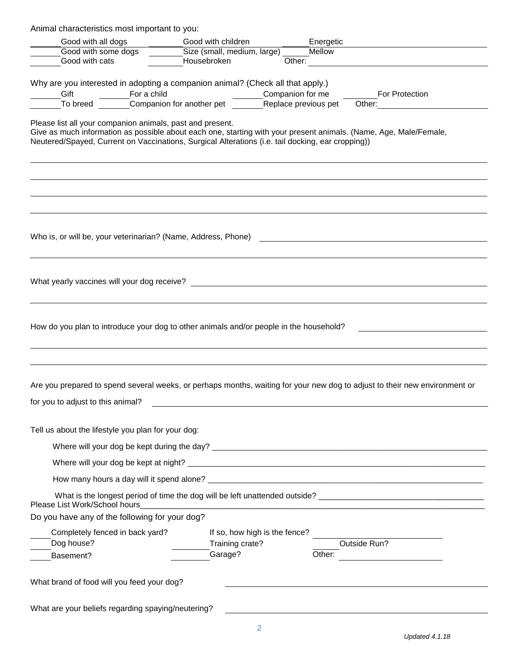| Animal characteristics most important to you:<br>Good with all dogs Good with children                                                                                                                                                                                              |                             | Energetic                     |                       |
|-------------------------------------------------------------------------------------------------------------------------------------------------------------------------------------------------------------------------------------------------------------------------------------|-----------------------------|-------------------------------|-----------------------|
| Good with some dogs                                                                                                                                                                                                                                                                 | Size (small, medium, large) | Mellow                        |                       |
| Good with cats                                                                                                                                                                                                                                                                      | Housebroken                 |                               | Other:                |
| Why are you interested in adopting a companion animal? (Check all that apply.)                                                                                                                                                                                                      |                             |                               |                       |
|                                                                                                                                                                                                                                                                                     |                             |                               | <b>For Protection</b> |
|                                                                                                                                                                                                                                                                                     |                             |                               |                       |
| Please list all your companion animals, past and present.<br>Give as much information as possible about each one, starting with your present animals. (Name, Age, Male/Female,<br>Neutered/Spayed, Current on Vaccinations, Surgical Alterations (i.e. tail docking, ear cropping)) |                             |                               |                       |
|                                                                                                                                                                                                                                                                                     |                             |                               |                       |
|                                                                                                                                                                                                                                                                                     |                             |                               |                       |
|                                                                                                                                                                                                                                                                                     |                             |                               |                       |
| How do you plan to introduce your dog to other animals and/or people in the household?                                                                                                                                                                                              |                             |                               |                       |
| Are you prepared to spend several weeks, or perhaps months, waiting for your new dog to adjust to their new environment or                                                                                                                                                          |                             |                               |                       |
| for you to adjust to this animal?                                                                                                                                                                                                                                                   |                             |                               |                       |
| Tell us about the lifestyle you plan for your dog:                                                                                                                                                                                                                                  |                             |                               |                       |
|                                                                                                                                                                                                                                                                                     |                             |                               |                       |
|                                                                                                                                                                                                                                                                                     |                             |                               |                       |
|                                                                                                                                                                                                                                                                                     |                             |                               |                       |
|                                                                                                                                                                                                                                                                                     |                             |                               |                       |
| Please List Work/School hours                                                                                                                                                                                                                                                       |                             |                               |                       |
| Do you have any of the following for your dog?                                                                                                                                                                                                                                      |                             |                               |                       |
| Completely fenced in back yard?                                                                                                                                                                                                                                                     |                             | If so, how high is the fence? |                       |
| Dog house?                                                                                                                                                                                                                                                                          | Training crate?             |                               | Outside Run?          |
| Basement?                                                                                                                                                                                                                                                                           | Garage?                     | Other:                        |                       |
| What brand of food will you feed your dog?                                                                                                                                                                                                                                          |                             |                               |                       |
| What are your beliefs regarding spaying/neutering?                                                                                                                                                                                                                                  |                             |                               |                       |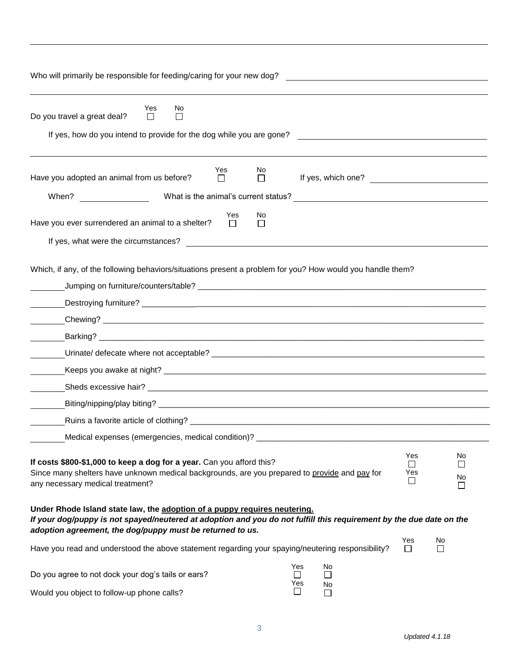| Who will primarily be responsible for feeding/caring for your new dog?                                                                                                                                                                                                                                                                                             |               |         |                                 | <u> 1989 - Johann John Stein, markin fyrstu og fyrstu og fyrir og fyrir og fyrir og fyrir og fyrir og fyrir og f</u> |                                              |                                          |
|--------------------------------------------------------------------------------------------------------------------------------------------------------------------------------------------------------------------------------------------------------------------------------------------------------------------------------------------------------------------|---------------|---------|---------------------------------|----------------------------------------------------------------------------------------------------------------------|----------------------------------------------|------------------------------------------|
| Yes<br>No<br>Do you travel a great deal?<br>$\Box$<br><b>I</b><br>If yes, how do you intend to provide for the dog while you are gone?                                                                                                                                                                                                                             |               |         |                                 | <u> 1989 - John Stein, Amerikaansk politiker (</u>                                                                   |                                              |                                          |
| Have you adopted an animal from us before?                                                                                                                                                                                                                                                                                                                         | Yes<br>$\Box$ | No<br>□ |                                 | If yes, which one?                                                                                                   |                                              |                                          |
| Have you ever surrendered an animal to a shelter?<br>If yes, what were the circumstances?                                                                                                                                                                                                                                                                          | Yes<br>$\Box$ | No<br>П |                                 |                                                                                                                      |                                              |                                          |
| Which, if any, of the following behaviors/situations present a problem for you? How would you handle them?                                                                                                                                                                                                                                                         |               |         |                                 |                                                                                                                      |                                              |                                          |
|                                                                                                                                                                                                                                                                                                                                                                    |               |         |                                 |                                                                                                                      |                                              |                                          |
|                                                                                                                                                                                                                                                                                                                                                                    |               |         |                                 |                                                                                                                      |                                              |                                          |
| Medical expenses (emergencies, medical condition)? ______________________________<br>If costs \$800-\$1,000 to keep a dog for a year. Can you afford this?<br>Since many shelters have unknown medical backgrounds, are you prepared to provide and pay for<br>any necessary medical treatment?                                                                    |               |         |                                 |                                                                                                                      | Yes<br>$\blacksquare$<br>Yes<br>$\mathsf{I}$ | No<br>$\mathbf{I}$<br>No<br>$\mathsf{L}$ |
| Under Rhode Island state law, the adoption of a puppy requires neutering.<br>If your dog/puppy is not spayed/neutered at adoption and you do not fulfill this requirement by the due date on the<br>adoption agreement, the dog/puppy must be returned to us.<br>Have you read and understood the above statement regarding your spaying/neutering responsibility? |               |         |                                 |                                                                                                                      | Yes<br>$\Box$                                | No<br>П                                  |
| Do you agree to not dock your dog's tails or ears?<br>Would you object to follow-up phone calls?                                                                                                                                                                                                                                                                   |               |         | Yes<br>$\perp$<br>Yes<br>$\Box$ | No<br>$\Box$<br>No<br>$\Box$                                                                                         |                                              |                                          |

3